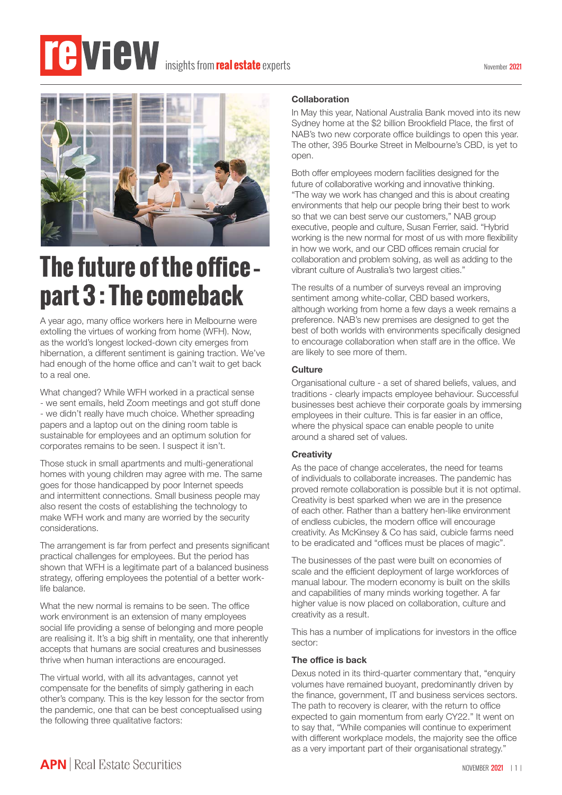# **insights from real estate** experts



# **The future of the office – part 3 : The comeback**

A year ago, many office workers here in Melbourne were extolling the virtues of working from home (WFH). Now, as the world's longest locked-down city emerges from hibernation, a different sentiment is gaining traction. We've had enough of the home office and can't wait to get back to a real one.

What changed? While WFH worked in a practical sense - we sent emails, held Zoom meetings and got stuff done - we didn't really have much choice. Whether spreading papers and a laptop out on the dining room table is sustainable for employees and an optimum solution for corporates remains to be seen. I suspect it isn't.

Those stuck in small apartments and multi-generational homes with young children may agree with me. The same goes for those handicapped by poor Internet speeds and intermittent connections. Small business people may also resent the costs of establishing the technology to make WFH work and many are worried by the security considerations.

The arrangement is far from perfect and presents significant practical challenges for employees. But the period has shown that WFH is a legitimate part of a balanced business strategy, offering employees the potential of a better worklife balance.

What the new normal is remains to be seen. The office work environment is an extension of many employees social life providing a sense of belonging and more people are realising it. It's a big shift in mentality, one that inherently accepts that humans are social creatures and businesses thrive when human interactions are encouraged.

The virtual world, with all its advantages, cannot yet compensate for the benefits of simply gathering in each other's company. This is the key lesson for the sector from the pandemic, one that can be best conceptualised using the following three qualitative factors:

#### **Collaboration**

In May this year, National Australia Bank moved into its new Sydney home at the \$2 billion Brookfield Place, the first of NAB's two new corporate office buildings to open this year. The other, 395 Bourke Street in Melbourne's CBD, is yet to open.

Both offer employees modern facilities designed for the future of collaborative working and innovative thinking. "The way we work has changed and this is about creating environments that help our people bring their best to work so that we can best serve our customers," NAB group executive, people and culture, Susan Ferrier, said. "Hybrid working is the new normal for most of us with more flexibility in how we work, and our CBD offices remain crucial for collaboration and problem solving, as well as adding to the vibrant culture of Australia's two largest cities."

The results of a number of surveys reveal an improving sentiment among white-collar, CBD based workers, although working from home a few days a week remains a preference. NAB's new premises are designed to get the best of both worlds with environments specifically designed to encourage collaboration when staff are in the office. We are likely to see more of them.

#### **Culture**

Organisational culture - a set of shared beliefs, values, and traditions - clearly impacts employee behaviour. Successful businesses best achieve their corporate goals by immersing employees in their culture. This is far easier in an office, where the physical space can enable people to unite around a shared set of values.

#### **Creativity**

As the pace of change accelerates, the need for teams of individuals to collaborate increases. The pandemic has proved remote collaboration is possible but it is not optimal. Creativity is best sparked when we are in the presence of each other. Rather than a battery hen-like environment of endless cubicles, the modern office will encourage creativity. As McKinsey & Co has said, cubicle farms need to be eradicated and "offices must be places of magic".

The businesses of the past were built on economies of scale and the efficient deployment of large workforces of manual labour. The modern economy is built on the skills and capabilities of many minds working together. A far higher value is now placed on collaboration, culture and creativity as a result.

This has a number of implications for investors in the office sector:

#### **The office is back**

Dexus noted in its third-quarter commentary that, "enquiry volumes have remained buoyant, predominantly driven by the finance, government, IT and business services sectors. The path to recovery is clearer, with the return to office expected to gain momentum from early CY22." It went on to say that, "While companies will continue to experiment with different workplace models, the majority see the office as a very important part of their organisational strategy."